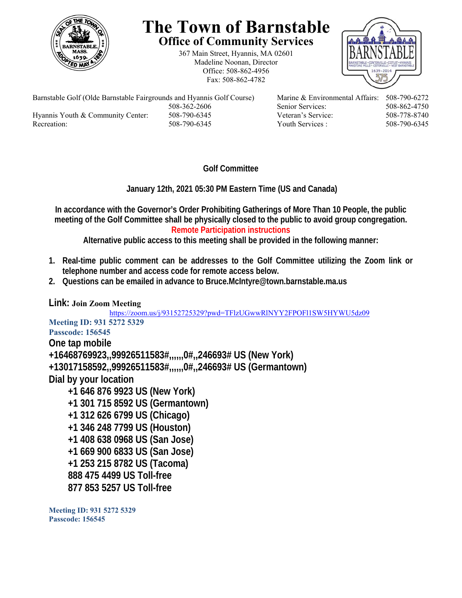

## **The Town of Barnstable Office of Community Services**

367 Main Street, Hyannis, MA 02601 Madeline Noonan, Director Office: 508-862-4956 Fax: 508-862-4782



Barnstable Golf (Olde Barnstable Fairgrounds and Hyannis Golf Course) Marine & Environmental Affairs: 508-790-6272 Hyannis Youth & Community Center: 508-790-6345 Veteran's Service: 508-778-8740 Recreation: 508-790-6345 Youth Services : 508-790-6345

508-362-2606 Senior Services: 508-862-4750

**Golf Committee** 

 **January 12th, 2021 05:30 PM Eastern Time (US and Canada)** 

**In accordance with the Governor's Order Prohibiting Gatherings of More Than 10 People, the public meeting of the Golf Committee shall be physically closed to the public to avoid group congregation. Remote Participation instructions** 

**Alternative public access to this meeting shall be provided in the following manner:** 

- **1. Real-time public comment can be addresses to the Golf Committee utilizing the Zoom link or telephone number and access code for remote access below.**
- **2. Questions can be emailed in advance to Bruce.McIntyre@town.barnstable.ma.us**

## **Link: Join Zoom Meeting**

https://zoom.us/j/93152725329?pwd=TFlzUGwwRlNYY2FPOFl1SW5HYWU5dz09

**Meeting ID: 931 5272 5329 Passcode: 156545 One tap mobile +16468769923,,99926511583#,,,,,,0#,,246693# US (New York) +13017158592,,99926511583#,,,,,,0#,,246693# US (Germantown) Dial by your location +1 646 876 9923 US (New York) +1 301 715 8592 US (Germantown) +1 312 626 6799 US (Chicago) +1 346 248 7799 US (Houston) +1 408 638 0968 US (San Jose) +1 669 900 6833 US (San Jose) +1 253 215 8782 US (Tacoma) 888 475 4499 US Toll-free 877 853 5257 US Toll-free** 

**Meeting ID: 931 5272 5329 Passcode: 156545**